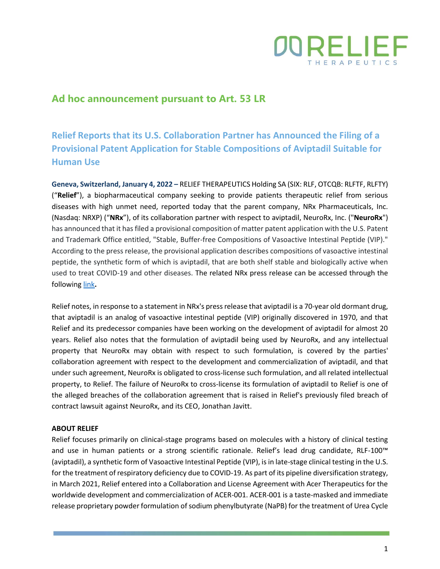

## **Ad hoc announcement pursuant to Art. 53 LR**

**Relief Reports that its U.S. Collaboration Partner has Announced the Filing of a Provisional Patent Application for Stable Compositions of Aviptadil Suitable for Human Use**

**Geneva, Switzerland, January 4, 2022 –** RELIEF THERAPEUTICS Holding SA (SIX: RLF, OTCQB: RLFTF, RLFTY) ("**Relief**"), a biopharmaceutical company seeking to provide patients therapeutic relief from serious diseases with high unmet need, reported today that the parent company, NRx Pharmaceuticals, Inc. (Nasdaq: NRXP) ("**NRx**"), of its collaboration partner with respect to aviptadil, NeuroRx, Inc. ("**NeuroRx**") has announced that it has filed a provisional composition of matter patent application with the U.S. Patent and Trademark Office entitled, "Stable, Buffer-free Compositions of Vasoactive Intestinal Peptide (VIP)." According to the press release, the provisional application describes compositions of vasoactive intestinal peptide, the synthetic form of which is aviptadil, that are both shelf stable and biologically active when used to treat COVID-19 and other diseases. The related NRx press release can be accessed through the following [link](https://www.prnewswire.com/news-releases/nrx-pharmaceuticals-files-provisional-patent-for-stable-compositions-of-aviptadil-suitable-for-human-use-301452657.html)**.**

Relief notes, in response to a statement in NRx's press release that aviptadil is a 70-year old dormant drug, that aviptadil is an analog of vasoactive intestinal peptide (VIP) originally discovered in 1970, and that Relief and its predecessor companies have been working on the development of aviptadil for almost 20 years. Relief also notes that the formulation of aviptadil being used by NeuroRx, and any intellectual property that NeuroRx may obtain with respect to such formulation, is covered by the parties' collaboration agreement with respect to the development and commercialization of aviptadil, and that under such agreement, NeuroRx is obligated to cross-license such formulation, and all related intellectual property, to Relief. The failure of NeuroRx to cross-license its formulation of aviptadil to Relief is one of the alleged breaches of the collaboration agreement that is raised in Relief's previously filed breach of contract lawsuit against NeuroRx, and its CEO, Jonathan Javitt.

## **ABOUT RELIEF**

Relief focuses primarily on clinical-stage programs based on molecules with a history of clinical testing and use in human patients or a strong scientific rationale. Relief's lead drug candidate, RLF-100™ (aviptadil), a synthetic form of Vasoactive Intestinal Peptide (VIP), is in late-stage clinical testing in the U.S. for the treatment of respiratory deficiency due to COVID-19. As part of its pipeline diversification strategy, in March 2021, Relief entered into a Collaboration and License Agreement with Acer Therapeutics for the worldwide development and commercialization of ACER-001. ACER-001 is a taste-masked and immediate release proprietary powder formulation of sodium phenylbutyrate (NaPB) for the treatment of Urea Cycle